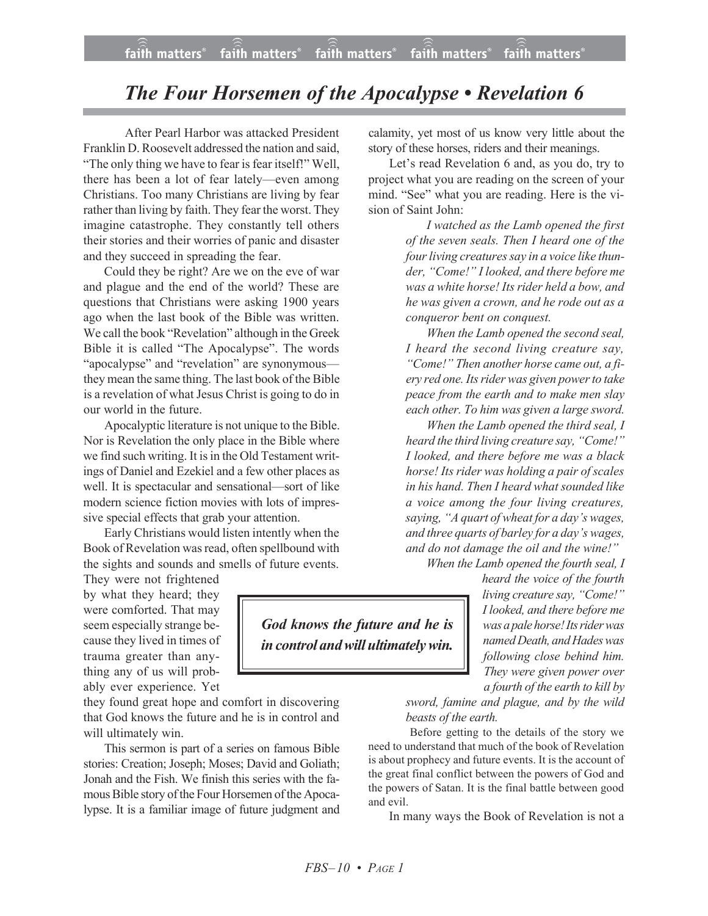## *The Four Horsemen of the Apocalypse • Revelation 6*

After Pearl Harbor was attacked President Franklin D. Roosevelt addressed the nation and said, "The only thing we have to fear is fear itself!" Well, there has been a lot of fear lately—even among Christians. Too many Christians are living by fear rather than living by faith. They fear the worst. They imagine catastrophe. They constantly tell others their stories and their worries of panic and disaster and they succeed in spreading the fear.

Could they be right? Are we on the eve of war and plague and the end of the world? These are questions that Christians were asking 1900 years ago when the last book of the Bible was written. We call the book "Revelation" although in the Greek Bible it is called "The Apocalypse". The words "apocalypse" and "revelation" are synonymous they mean the same thing. The last book of the Bible is a revelation of what Jesus Christ is going to do in our world in the future.

Apocalyptic literature is not unique to the Bible. Nor is Revelation the only place in the Bible where we find such writing. It is in the Old Testament writings of Daniel and Ezekiel and a few other places as well. It is spectacular and sensational—sort of like modern science fiction movies with lots of impressive special effects that grab your attention.

Early Christians would listen intently when the Book of Revelation was read, often spellbound with the sights and sounds and smells of future events.

They were not frightened by what they heard; they were comforted. That may seem especially strange because they lived in times of trauma greater than anything any of us will probably ever experience. Yet

they found great hope and comfort in discovering that God knows the future and he is in control and will ultimately win.

This sermon is part of a series on famous Bible stories: Creation; Joseph; Moses; David and Goliath; Jonah and the Fish. We finish this series with the famous Bible story of the Four Horsemen of the Apocalypse. It is a familiar image of future judgment and calamity, yet most of us know very little about the story of these horses, riders and their meanings.

Let's read Revelation 6 and, as you do, try to project what you are reading on the screen of your mind. "See" what you are reading. Here is the vision of Saint John:

> *I watched as the Lamb opened the first of the seven seals. Then I heard one of the* four living creatures say in a voice like thun*der, "Come!" I looked, and there before me was a white horse! Its rider held a bow, and he was given a crown, and he rode out as a conqueror bent on conquest.*

> *When the Lamb opened the second seal, I heard the second living creature say, "Come!" Then another horse came out, a fiery red one. Itsrider was given powerto take peace from the earth and to make men slay each other. To him was given a large sword.*

> *When the Lamb opened the third seal, I heard the third living creature say, "Come!" I looked, and there before me was a black horse! Its rider was holding a pair of scales in his hand. Then I heard what sounded like a voice among the four living creatures, saying, "A quart of wheat for a day's wages, and three quarts of barley for a day's wages, and do not damage the oil and the wine!"*

*When the Lamb opened the fourth seal, I*

*heard the voice of the fourth living creature say, "Come!" I looked, and there before me was a pale horse! Its rider was named Death, andHades was following close behind him. They were given power over a fourth of the earth to kill by*

*sword, famine and plague, and by the wild beasts of the earth.*

Before getting to the details of the story we need to understand that much of the book of Revelation is about prophecy and future events. It is the account of the great final conflict between the powers of God and the powers of Satan. It is the final battle between good and evil.

In many ways the Book of Revelation is not a

*God knows the future and he is incontrol andwillultimatelywin.*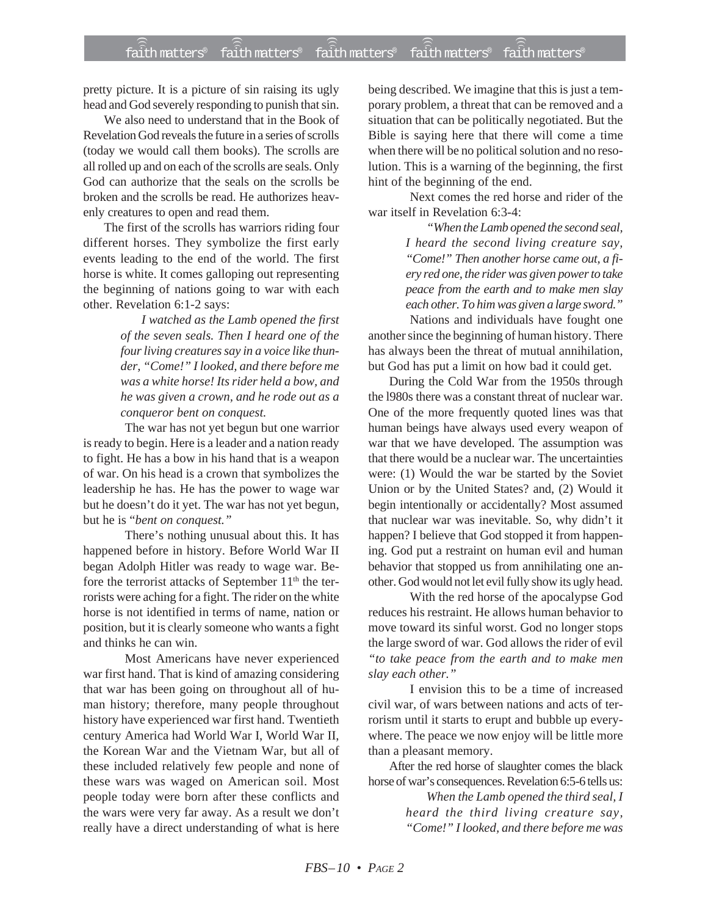pretty picture. It is a picture of sin raising its ugly head and God severely responding to punish that sin.

We also need to understand that in the Book of Revelation God reveals the future in a series of scrolls (today we would call them books). The scrolls are all rolled up and on each of the scrolls are seals. Only God can authorize that the seals on the scrolls be broken and the scrolls be read. He authorizes heavenly creatures to open and read them.

The first of the scrolls has warriors riding four different horses. They symbolize the first early events leading to the end of the world. The first horse is white. It comes galloping out representing the beginning of nations going to war with each other. Revelation 6:1-2 says:

> *I watched as the Lamb opened the first of the seven seals. Then I heard one of the four living creatures say in a voice like thunder, "Come!" I looked, and there before me was a white horse! Its rider held a bow, and he was given a crown, and he rode out as a conqueror bent on conquest.*

The war has not yet begun but one warrior is ready to begin. Here is a leader and a nation ready to fight. He has a bow in his hand that is a weapon of war. On his head is a crown that symbolizes the leadership he has. He has the power to wage war but he doesn't do it yet. The war has not yet begun, but he is "*bent on conquest."*

There's nothing unusual about this. It has happened before in history. Before World War II began Adolph Hitler was ready to wage war. Before the terrorist attacks of September 11<sup>th</sup> the terrorists were aching for a fight. The rider on the white horse is not identified in terms of name, nation or position, but it is clearly someone who wants a fight and thinks he can win.

Most Americans have never experienced war first hand. That is kind of amazing considering that war has been going on throughout all of human history; therefore, many people throughout history have experienced war first hand. Twentieth century America had World War I, World War II, the Korean War and the Vietnam War, but all of these included relatively few people and none of these wars was waged on American soil. Most people today were born after these conflicts and the wars were very far away. As a result we don't really have a direct understanding of what is here

being described. We imagine that this is just a temporary problem, a threat that can be removed and a situation that can be politically negotiated. But the Bible is saying here that there will come a time when there will be no political solution and no resolution. This is a warning of the beginning, the first hint of the beginning of the end.

Next comes the red horse and rider of the war itself in Revelation 6:3-4:

> *"When the Lamb opened the second seal, I heard the second living creature say, "Come!" Then another horse came out, a fiery red one, the rider was given power to take peace from the earth and to make men slay each other. To him was given a large sword."*

Nations and individuals have fought one another since the beginning of human history. There has always been the threat of mutual annihilation, but God has put a limit on how bad it could get.

During the Cold War from the 1950s through the l980s there was a constant threat of nuclear war. One of the more frequently quoted lines was that human beings have always used every weapon of war that we have developed. The assumption was that there would be a nuclear war. The uncertainties were: (1) Would the war be started by the Soviet Union or by the United States? and, (2) Would it begin intentionally or accidentally? Most assumed that nuclear war was inevitable. So, why didn't it happen? I believe that God stopped it from happening. God put a restraint on human evil and human behavior that stopped us from annihilating one another. God would not let evil fully show its ugly head.

With the red horse of the apocalypse God reduces his restraint. He allows human behavior to move toward its sinful worst. God no longer stops the large sword of war. God allows the rider of evil *"to take peace from the earth and to make men slay each other."*

I envision this to be a time of increased civil war, of wars between nations and acts of terrorism until it starts to erupt and bubble up everywhere. The peace we now enjoy will be little more than a pleasant memory.

After the red horse of slaughter comes the black horse of war's consequences. Revelation 6:5-6 tells us:

> *When the Lamb opened the third seal, I heard the third living creature say, "Come!" I looked, and there before me was*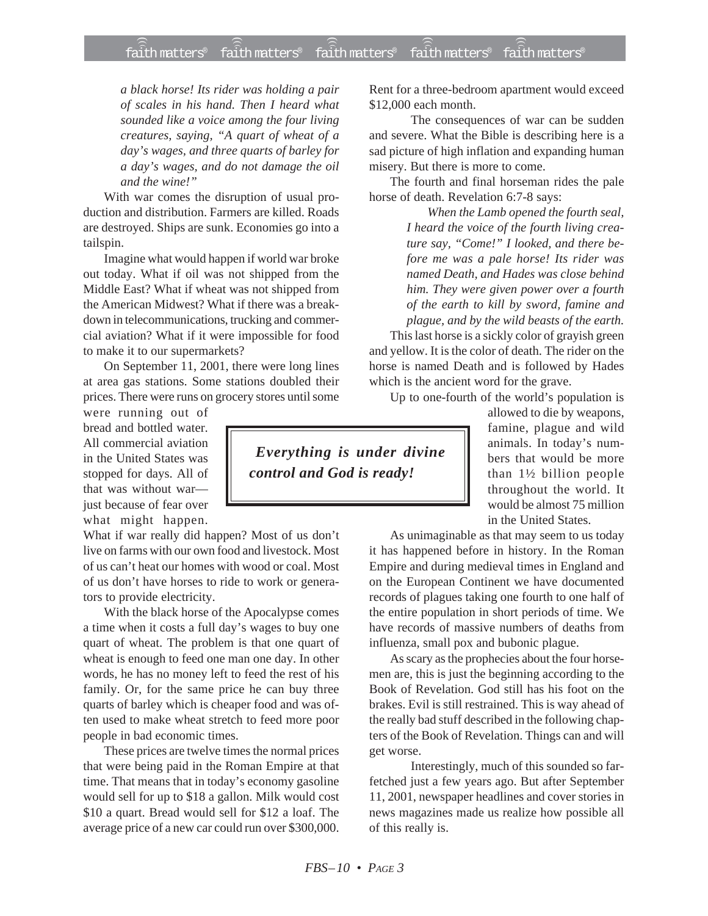## faith matters® faith matters® faith matters® faith matters® faith matters® ))) ))) ))) ))) )))

*a black horse! Its rider was holding a pair of scales in his hand. Then I heard what sounded like a voice among the four living creatures, saying, "A quart of wheat of a day's wages, and three quarts of barley for a day's wages, and do not damage the oil and the wine!"*

With war comes the disruption of usual production and distribution. Farmers are killed. Roads are destroyed. Ships are sunk. Economies go into a tailspin.

Imagine what would happen if world war broke out today. What if oil was not shipped from the Middle East? What if wheat was not shipped from the American Midwest? What if there was a breakdown in telecommunications, trucking and commercial aviation? What if it were impossible for food to make it to our supermarkets?

On September 11, 2001, there were long lines at area gas stations. Some stations doubled their prices. There were runs on grocery stores until some

were running out of bread and bottled water. All commercial aviation in the United States was stopped for days. All of that was without war just because of fear over what might happen.

What if war really did happen? Most of us don't live on farms with our own food and livestock. Most of us can't heat our homes with wood or coal. Most of us don't have horses to ride to work or generators to provide electricity.

With the black horse of the Apocalypse comes a time when it costs a full day's wages to buy one quart of wheat. The problem is that one quart of wheat is enough to feed one man one day. In other words, he has no money left to feed the rest of his family. Or, for the same price he can buy three quarts of barley which is cheaper food and was often used to make wheat stretch to feed more poor people in bad economic times.

These prices are twelve times the normal prices that were being paid in the Roman Empire at that time. That means that in today's economy gasoline would sell for up to \$18 a gallon. Milk would cost \$10 a quart. Bread would sell for \$12 a loaf. The average price of a new car could run over \$300,000.

Rent for a three-bedroom apartment would exceed \$12,000 each month.

The consequences of war can be sudden and severe. What the Bible is describing here is a sad picture of high inflation and expanding human misery. But there is more to come.

The fourth and final horseman rides the pale horse of death. Revelation 6:7-8 says:

> *When the Lamb opened the fourth seal, I heard the voice of the fourth living creature say, "Come!" I looked, and there before me was a pale horse! Its rider was named Death, and Hades was close behind him. They were given power over a fourth of the earth to kill by sword, famine and plague, and by the wild beasts of the earth.*

This last horse is a sickly color of grayish green and yellow. It is the color of death. The rider on the horse is named Death and is followed by Hades which is the ancient word for the grave.

Up to one-fourth of the world's population is

allowed to die by weapons, famine, plague and wild animals. In today's numbers that would be more than 1½ billion people throughout the world. It would be almost 75 million in the United States.

As unimaginable as that may seem to us today it has happened before in history. In the Roman Empire and during medieval times in England and on the European Continent we have documented records of plagues taking one fourth to one half of the entire population in short periods of time. We have records of massive numbers of deaths from influenza, small pox and bubonic plague.

As scary as the prophecies about the four horsemen are, this is just the beginning according to the Book of Revelation. God still has his foot on the brakes. Evil is still restrained. This is way ahead of the really bad stuff described in the following chapters of the Book of Revelation. Things can and will get worse.

Interestingly, much of this sounded so farfetched just a few years ago. But after September 11, 2001, newspaper headlines and cover stories in news magazines made us realize how possible all of this really is.

 *Everything is under divine control and God is ready!*